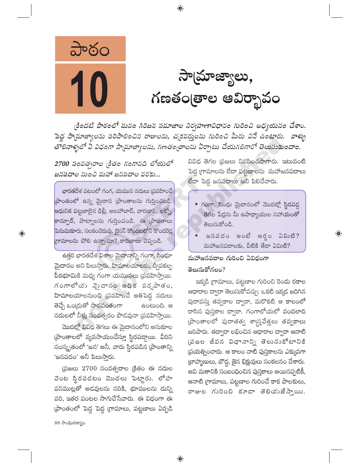

సామ్రాజ్యాలు, గణతం[తాల ఆవిర్భావం

కిందటి పాఠంలో మనం గిరిజన సమాజాల నిర్వహణావిధానం గురించి అధ్యయనం చేశాం. పెద్ద సామాజ్యాలను పరిపాలించిన రాజులను, చ(కవరు్తలను గురించి మీరు వినే ఉంటారు. వాళ్ళు తాలినాళ్ళలో ఏ విధంగా సామాజ్యాలను, గణతంత్రాలను ఏర్పాటు చేయగలిగారో తెలుసుకుందాం.

 $\bigoplus$ 

2700 సంవత్సరాల <sub>(</sub>కితం గంగానది లోయలో జనపదాల నుంచి మహా జనపదాల వరకు...

భారతదేశ పటంలో గంగ, యమున నదులు (పవహించే పాంతంలో ఉన్న మైదాన (పాంతాలను గుర్తించండి. ఆధునిక పట్టణాలైన ఢిల్లీ, అలహాబాద్, వారణాసి, లక్నో, కాన్పూర్, పాట్నాలను గుర్తించండి. ఈ [పాంతాలు పెనుమకూరు, సలకంచెరువు, బైసన్ కొండలలోని కొండరెడ్ల గ్రామాలను పోలి ఉన్నాయా? కారణాలు చెప్పండి.

ఉత్తర భారతదేశ విశాల మైదానాన్ని గంగా, సింధూ మైదానం అని పిలుస్తారు. హిమాలయాలకు, ద్వీపకల్ప పీఠభూమికి మధ్య గంగా యమునలు (పవహిస్తాయి. గంగాలోయ వైదానం అధిక వర్షపాతం, హిమాలయాలనుంచి (పవహించే అతిపెద్ద నదులు తెచ్చే ఒండ్రుతో సారవంతంగా ఉంటుంది. ఆ నదులలో నీళ్లు సంవత్సరం పొడవునా (పవహిస్తాయి.

మొదట్లో వివిధ తెగలు ఈ మైదానంలోని అనుకూల (పాంతాలలో వ్యవసాయంచేస్తూ స్థిరపద్దాయి. వీరిని సంస్కృతంలో 'జన' అనీ, వారు స్థిరపడిన (పాంతాన్ని 'జనపదం' అనీ పిలుస్తారు.

 $\beta$ జలు 2700 సంవత్సరాల క్రితం ఈ నదుల వెంట స్థిరపడటం మొదలు పెట్టారు. లోహ పనిముట్లతో అడవులను నరికి, భూములను దున్ని వరి, ఇతర పంటల సాగుచేసేవారు. ఈ విధంగా ఈ ప్రాంతంలో పెద్ద పెద్ద గ్రామాలు, పట్టణాలు ఏర్పడి

వివిధ తెగల (పజలు నివసించసాగారు. ఇటువంటి పెద్ద గ్రామాలను లేదా పట్టణాలను మహాజనపదాలు లేదా పెద్ద జనపదాలు అని పిలిచేవారు.

- $\bullet$  గంగా, సింధు మైదానంలో మొదట్లో స్థిరపడ్డ తెగల పేర్లను మీ ఉపాధ్యాయుల సహాయంతో తెలుసుకోండి.
- జనవదం అంటే అర్థం ఏమిటి? మహాజనపదాలకు, వీటికి తేడా ఏమిటి?

 $\textcircled{\scriptsize\textsf{P}}$ 

# మహాజనపదాల గురించి ఏవిధంగా తెలుసుకోగలం?

ఇక్కడి (గామాలు, పట్టణాల గురించి రెందు రకాల ఆధారాల ద్వారా తెలుసుకోవచ్చు: ఒకటి ఇక్కడ జరిగిన పురావస్తు తవ్వకాల ద్వారా, మరొకటి ఆ కాలంలో రాసిన పుస్తకాల ద్వారా. గంగాలోయలో వందలాది (పాంతాలలో పురాతత్వ శాగ్ర్తవేత్తలు తవ్వకాలు జరిపారు. తద్వారా లభించిన ఆధారాల ద్వారా ఆనాటి (వజల జీవన విధానాన్ని తెలునుకోటానికి ప్రయత్నించారు. ఆ కాలం నాటి పుస్తకాలను ఎక్కువగా (బాహ్మణులు, బౌద్ధ, జైన భిక్షువులు సంకలనం చేశారు. అవి మతానికి సంబంధించిన పుస్తకాలు అయినప్పటికీ, ఆనాటి (గామాలు, పట్టణాల గురించే కాక పాలకులు, రాజుల గురించి కూడా తెలియుజేస్తాయి.

88 సాంఘికశాస్త్రం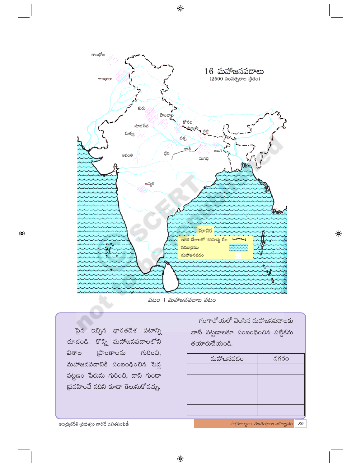కాంభోజ  $16$  మహాజనపదాలు  $(2500 \times 500)$  సంవత్సరాల (కీతం) గాంధారా కురు ಎಂಎಲ್ కోసల సూరసేన మల్లేరు<br>- మ మత్స్య వత్స ಫೆದಿ అవంతి మగధ **D3** అస్మక సూచిక ఇతర దేశాలతో సరిహద్దు రేఖ నముద్రము మహాజనపద<mark>ం</mark>

పటం 1 మహాజనపదాల పటం

 $\overline{\mathbb{R}}$ న ఇచ్చిన భారతదేశ పటాన్ని చూదండి. కొన్ని మహాజనపదాలలోని @ాంతాలను  $\kappa$ ವಿಕಾಲ మహాజనపదానికి సంబంధించిన పెద్ద పట్టణం పేరును గురించి, దాని గుండా (పవహించే నదిని కూడా తెలుసుకోవచ్చు.

గంగాలోయలో వెలసిన మహాజనపదాలకు వాటి పట్టణాలకూ సంబంధించిన పట్టికను తయారుచేయండి.

| మహాజనపదం | నగరం |
|----------|------|
|          |      |
|          |      |
|          |      |
|          |      |
|          |      |

ఆంధ్ర(పదేశ్ (పభుత్వం వారిచే ఉచితపంపిణీ

 $\bigoplus$ 

 $\frac{1}{2}$ సామాజ్యాలు, గణతండ్రాల ఆవిర్భావం 89

 $\bigoplus$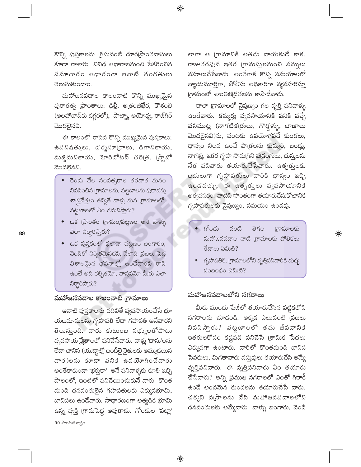కొన్ని పుస్తకాలను గ్రీసువంటి దూర[పాంతవాసులు కూడా రాశారు. వివిధ ఆధారాలనుంచి సేకరించిన సమాచారం ఆధారంగా ఆనాటి సంగతులు తెలుసుకుందాం.

 $\bigoplus$ 

మహాజనపదాల కాలంనాటి కొన్ని ముఖ్యమైన పురాతత్వ (పాంతాలు: ఢిల్లీ, అత్రంజిఖేర, కౌశంబి (అలహాబాద్కు దగ్గరలో), పాట్నా, అయోధ్య, రాజ్గిర్ మొదలైనవి.

ఈ కాలంలో రాసిన కొన్ని ముఖ్యమైన పుస్తకాలు: ఉపనిషత్తులు, ధర్మసూ(తాలు, దిగానికాయు, మజ్జిమనికాయ, హెరిడోటస్ చరి(త, (స్టాబో మొదలైనవి.

- ◆ రెండు వేల సంవత్సరాల తరవాత మనం నివసించిన గ్రామాలను, పట్టణాలను పురావస్తు శాద్ర్రవేత్తలు తవ్వితే వాళ్లు మన గ్రామాలలో, పట్టణాలలో ఏం గమనిస్తారు?
- ఒక (పాంతం (గామం/పట్టణం అని వాళ్ళు  $\omega$ சு லிஜில்?
- ఒక పుస్తకంలో ఫలానా పట్టణం బంగారం, వెండితో నిర్మితమైనదని, వేలాది (పజలు పెద్ద విశాలమైన భవనాల్లో ఉండేవారని రాసి ఉంటే అది కల్పితమో, వాస్తవమో మీరు ఎలా నిర్ధారిస్తారు?

## మహాజనపదాల కాలంనాటి గ్రామాలు

 $\bigoplus$ 

ఆనాటి పుస్తకాలను చదివితే వ్యవసాయంచేసే భూ యజమానులను గృహపతి లేదా గహపతి అనేవారని తెలుస్తుంది. వారు కుటుంబ సభ్యులతోపాటు వ్యవసాయ క్షేత్రాలలో పనిచేసేవారు. వాళ్లు 'దాసు'లను లేదా బానిస (యుద్దాల్లో బందీలై రైతులకు అమ్ముడయిన వార)లను కూడా పనికి ఉపయోగించేవారు అంతేకాకుండా 'భర్తుకా' అనే పనివాళ్ళకు కూలి ఇచ్చి పొలంలో, ఇంటిలో పనిచేయించుకునే వారు. కొంత మంది ధనవంతులైన గహపతులకు ఎక్కువభూమి, బానిసలు ఉండేవారు. సాధారణంగా అత్యధిక భూమి ఉన్న వ్యక్తి గ్రామపెద్ద అవుతాడు. గోందుల 'పట్లా'  $90\omega$ సాంఘికశాస్త్రం

లాగా ఆ గ్రామానికి అతడు నాయకుడే కాక, రాజుతరఫున ఇతర (గామస్తులనుంచి పన్నులు వసూలుచేసేవాడు. అంతేగాక కొన్ని సమయాలలో న్యాయమూర్తిగా, పోలీసు అధికారిగా వ్యవహరిస్తూ గ్రామంలో శాంతిభ(దతలను కాపాడేవాడు.

చాలా (గామాలలో నైపుణ్యం గల వృత్తి పనివాళ్ళు ఉండేవారు. కమ్మర్లు వ్యవసాయానికి పనికి వచ్చే పనిముట్ల (నాగటిక(రులు, గొడ్డళ్ళు, బాణాలు మొదలైనవి)ను, వంటకు ఉపయోగపడే కుండలు, ధాన్యం నిలవ ఉంచే పాత్రలను కుమ్మరి, బండ్లు, నాగళ్లు, ఇతర గృహ సామగ్రిని వ(డంగులు, దుస్తులను నేత పనివారు తయారుచేసేవారు. ఉత్పత్తులకు బదులుగా గృహపతులు వారికి ధాన్యం ఇచ్చి ఉండవచ్చు. ఈ ఉత్పత్తులు వ్యవసాయానికి అత్యవసరం. వాటిని సొంతంగా తయారుచేసుకోటానికి గృహపతులకు నైపుణ్యం, సమయం ఉండవు.

గోండు గామాలకు వంటి తెగల మహాజనపదాల నాటి గ్రామాలకు పోలికలు తేదాలు ఏమిటి?

 $\bigoplus$ 

 $\bullet$  గృహపతికి, గ్రామాలలోని వృత్తిపనివారికి మధ్య  $\delta$ o $\alpha$ o $\beta$ o  $\delta$ නිාහී?

#### మహాజనపదాలలోని నగరాలు

మీరు ముందు పేజీలో తయారుచేసిన పట్టికలోని నగరాలను చూడండి. అక్కడ ఎటువంటి ప్రజలు నివసి స్తారు? వట్టణాలలో తమ జీవనానికి ఇతరులకోసం కష్టపడి పనిచేసే (శామిక పేదలు ఎక్కువగా ఉంటారు. వారిలో కొంతమంది బానిస సేవకులు, మిగతావారు వస్తువులు తయారుచేసి అమ్మే వృత్తిపనివారు. ఈ వృత్తిపనివారు ఏం తయారు చేసేవారు? అన్ని (పముఖ నగరాలలో ఎంతో గిరాకీ ఉండే అందమైన కుండలను తయారుచేసే వారు. చక్కని వఁ్చస్తాలను నేసి మహాజనవదాలలోని ధనవంతులకు అమ్మేవారు. వాళ్ళు బంగారు, వెండి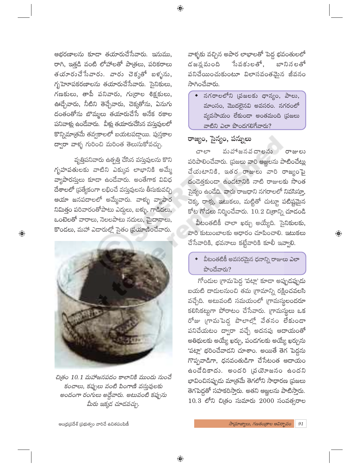ఆభరణాలను కూడా తయారుచేసేవారు. ఇనుము, రాగి, ఇత్తడి వంటి లోహాలతో పాత్రలు, పరికరాలు తయారుచేసేవారు. వారు చెక్కతో బళ్ళను, గృహెూపకరణాలను తయారుచేసేవారు. సైనికులు, గణకులు, తాపీ పనివారు, గుర్రాల శిక్షకులు, ఊడ్చేవారు, నీటిని తెచ్చేవారు, చెక్కతోను, ఏనుగు దంతంతోను బొమ్మలు తయారుచేసే అనేక రకాల పనివాళ్లు ఉండేవారు. వీళ్లు తయారుచేసిన వస్తువులలో కొన్నిమాత్రమే తవ్వకాలలో బయటపడ్డాయి. పుస్తకాల ద్వారా వాళ్ళ గురించి మరింత తెలుసుకోవచ్చు.

వృత్తిపనివారు ఉత్పత్తి చేసిన వస్తువులను కొని గృహపతులకు వాటిని ఎక్కువ లాభానికి అమ్మే వ్యాపారస్తులు కూడా ఉండేవారు. అంతేగాక వివిధ దేశాలలో (పత్యేకంగా లభించే వస్తువులను తీసుకువచ్చి ఆయా జనపదాలలో అమ్మేవారు. వాళ్ళు వ్యాపార నిమిత్తం పరివారంతోపాటు ఎద్దులు, బళ్ళు, గాడిదలు, ఒంటెలతో వారాలు, నెలలపాటు నదులు, మైదానాలు, కొండలు, మహా ఎడారుల్లో సైతం (పయాణించేవారు.

 $\bigoplus$ 



చిత్రం 10.1 మహాజనపదం కాలానికి ముందు నుంచే కంచాలు, కప్పులు వంటి పింగాణి వస్తువులకు అందంగా రంగులు అద్దేవారు. అటువంటి కప్పును మీరు ఇక్కడ చూడవచ్చు.

వాళ్ళకు వచ్చిన అపార లాభాలతో పెద్ద భవంతులలో సేవకులతో, డ జన్హ మంది బానిన లతో పనిచేయించుకుంటూ విలాసవంతమైన జీవనం సాగించేవారు.

 $\bullet$  నగరాలలోని (పజలకు ధాన్యం, పాలు, మాంసం, మొదలైనవి అవసరం. నగరంలో వ్యవసాయం లేకుండా అంతమంది (పజలు వాటిని ఎలా పొందగలిగేవారు?

#### రాజ్యం, సైన్యం, పన్నులు

వువోజనవదాలను రాజులు చాలా పరిపాలించేవారు. (పజలు వారి ఆజ్ఞలను పాటించేట్లు చేయటానికి, ఇతర రాజులు వారి రాజ్యంపై దండెత్తకుండా ఉండటానికి నాటి రాజులకు సొంత సైన్యం ఉండేది. వారు రాజధాని నగరాలలో నివసిస్తూ, చెక్క, రాళ్లు, ఇటుకలు, మట్టితో చుట్<mark>ద</mark>ూ పటిష్టమైన కోట గోడలు నిర్మించేవారు.  $10.2$  చిత్రాన్ని చూడండి

వీటంతటికీ చాలా ఖర్చు అయ్యేది. సైనికులకు, వారి కుటుంబాలకు ఆధారం చూపించాలి. ఇటుకలు చేసేవారికి, భవనాలు కట్టేవారికి కూలీ ఇవ్వాలి.

 $\bigoplus$ 

వీటంతటికీ అవసరమైన ధనాన్ని రాజులు ఎలా  $\frac{1}{2}$ တာဝါး ဆုတ်  $\frac{1}{2}$ 

గోందుల గ్రామపెద్ద 'పట్లా' కూడా అప్పుడప్పుడు బయటి దాదులనుంచి తమ (గామాన్ని రక్షించవలసి వచ్చేది. అటువంటి సమయంలో గ్రామస్థలందరూ కలిసికట్టుగా పోరాటం చేసేవారు. (గామస్థలు ఒక రోజు గ్రామపెద్ద పొలాల్లో వేతనం లేకుండా పనిచేయటం ద్వారా వచ్చే అదనపు ఆదాయంతో అతిథులకు అయ్యే ఖర్చు, పండగలకు అయ్యే ఖర్చును 'పట్లా' భరించేవాడని చూశాం. అయితే తెగ పెద్దను గొప్పవాడిగా, ధనవంతుడిగా చేసేటంత ఆదాయం ఉండేదికాదు. అందరి (వయోజనం ఉందని భావించినప్పుడు మాత్రమే తెగలోని సాధారణ (పజలు తెగపెద్దతో సహకరిస్తారు. అతని ఆజ్ఞలను పాటిస్తారు.  $10.3$  లోని చిత్రం సుమారు  $2000$  సంవత్సరాల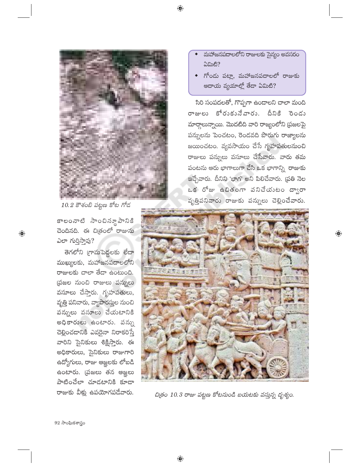

10.2 కౌశంబి పట్టణ కోట గోడ

కాలంనాటి సాంచినూవానికి చెందినది. ఈ చిత్రంలో రాజును ఎలా గుర్తిస్తావు?

 $\bigoplus$ 

తెగలోని గ్రామపెద్దలకు లేదా ముఖ్యులకు, మహాజనపదాలలోని రాజులకు చాలా తేదా ఉంటుంది. ప్రజల నుంచి రాజులు పన్నులు వసూలు చేస్తారు. గృహపతులు, వృత్తి పనివారు, వ్యాపారస్తుల నుంచి పన్నులు వసూలు చేయటానికి అధికారులు ఉంటారు. పన్ను చెల్లించడానికి ఎవరైనా నిరాకరిస్తే వారిని సైనికులు శిక్షిస్తారు. ఈ అధికారులు, సైనికులు రాజుగారి ఉద్యోగులు, రాజు ఆజ్ఞలకు లోబడి ఉంటారు. (పజలు తన ఆజ్ఞలు పాటించేలా చూడటానికి కూడా రాజుకు వీళ్లు ఉపయోగపడేవారు.

- మహాజనపదాలలోని రాజులకు సైన్యం అవసరం ఏమిటి?
- $\bullet$  గోందు పట్లా, మహాజనపదాలలో రాజుకు ఆదాయ వ్యయాల్లో తేదా ఏమిటి?

సిరి సంపదలతో, గొప్పగా ఉండాలని చాలా మంది రాజులు కోరుకునేవారు. దీనికి రెండు మార్గాలున్నాయి. మొదటిది వారి రాజ్యంలోని (పజలపై పన్నులను పెంచటం, రెండవది పొరుగు రాజ్యాలను జయించటం. వ్యవసాయం చేసే గృహపతులనుంచి రాజులు పన్నులు వసూలు చేసేవారు. వారు తమ పంటను ఆరు భాగాలుగా చేసి ఒక భాగాన్ని రాజుకు ఇచ్చేవారు. దీనిని 'భాగ' అని పిలిచేవారు. (ప్రతి నెల ఒక రోజు ఉచితంగా వనిచేయుటం ద్వారా వృత్తిపనివారు రాజుకు పన్నులు చెల్లించేవారు.

 $\bigoplus$ 



చిత్రం 10.3 రాజు పట్టణ కోటనుండి బయటకు వస్తున్న దృశ్యం.

 $92$  సాంఘికశాస్త్రం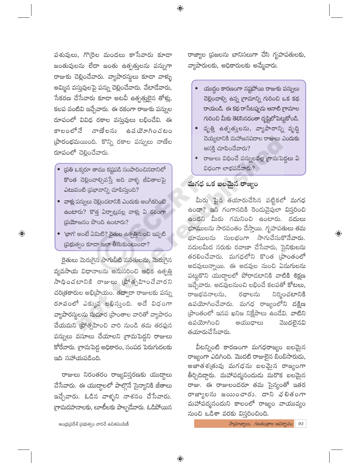పశువులు, గొ(రెల మందలు కాసేవారు కూడా జంతువులను లేదా జంతు ఉత్పత్తులను పన్నుగా రాజుకు చెల్లించేవారు. వ్యాపారస్థులు కూడా వాళ్ళు అమ్మిన వస్తువులపై పన్ను చెల్లించేవారు. వేటాడేవారు, సేకరణ చేసేవారు కూడా అటవీ ఉత్పత్తు<u>ల</u>ైన తోళ్లు, కలప వంటివి ఇచ్చేవారు. ఈ రకంగా రాజుకు పన్నుల రూపంలో వివిధ రకాల వస్తువులు లభించేవి. ఈ కాలంలోనే నాణేలను ఉవ యోగించటం ప్రారంభమయింది. కొన్ని రకాల పన్నులు నాణేల రూపంలో చెల్లించేవారు.

- $\bullet$  [పతి ఒక్కరూ తాము కష్టపడి సంపాదించినదానిలో కొంత చెల్లించాల్సివస్తే అది వాళ్ళ జీవితాలపై ఎటువంటి (పభావాన్ని చూపిస్తుంది?
- $\bullet$  వాళ్లు పన్నులు చెల్లించటానికి ఎందుకు అంగీకరించి ఉంటారు? కొత్త ఏర్పాట్లవల్ల వాళ్లు ఏ రకంగా [పయోజనం పొంది ఉంటారు?
- $\bullet$  'భాగ' అంటే ఏమిటి? రైతుల ఉత్పత్తినుంచి ఇప్పటి  $\tilde{\omega}$ భుత్వం కూడా ఇలా తీసుకుంటుందా?

 $\bigoplus$ 

రైతులు మెరుగైన సాగునీటి వసతుల<mark>ను,</mark> మెరుగైన వ్యవసాయ విధానాలను అనుసరించి అధిక ఉత్పత్తి సాధించటానికి రాజులు (పోత్సహించేవారని చరిత్రకారుల అభి[పాయం. తద్వారా రాజులకు పన్ను రూపంలో ఎక్కువ లభిస్తుంది. అదే విధంగా వ్యాపారస్థులను సుదూర (పాంతాల వారితో వ్యాపారం చేయమని <mark>ప్రో</mark>త్సహించి వారి నుండి తమ తరఫున పన్నులు వసూలు చేయాలని గ్రామపెద్దని రాజులు కోరేవారు. గ్రామపెద్ద అధికారం, సంపద పెరుగుదలకు ఇది సహాయపడింది.

రాజులు నిరంతరం రాజ్యవిస్తరణకు యుద్దాలు చేసేవారు. ఈ యుద్దాలలో పాల్గొనే సైన్యానికి జీతాలు ఇచ్చేవారు. ఓడిన వాళ్ళని నాశనం చేసేవారు. గ్రామదహనాలకు, లూటీలకు పాల్పడేవారు. ఓడిపోయిన

ఆంధ్ర(పదేశ్ (పభుత్వం వారిచే ఉచితపంపిణీ

రాజ్యాల (పజలను బానిసలుగా చేసి గృహపతులకు, వ్యాపారులకు, అధికారులకు అమ్మేవారు.

- $\bullet$   $\alpha$ యుద్ధం కారణంగా నష్టపోయి రాజుకు పన్నులు చెల్లించాల్సి ఉన్న (గామాన్ని గురించి ఒక కథ రాయండి. ఈ కథ రాసేటప్పుడు ఆనాటి గ్రామాల గురించి మీకు తెలిసినదంతా దృష్టిలోపెట్టుకోండి.
- ◆ వృత్తి ఉత్పతుతలను, వ్యాపారాన్ని వృద్ధి చెయ్యటానికి మహాజనపదాల రాజులు ఎందుకు ఆసక్తి చూపించేవారు?
- $\bullet$  రాజులు విధించే పన్నులవల్ల (గామపెద్దలు ఏ విధంగా లాభపడేవారు?

## మగధ ఒక బలమైన రాజ్యం

మీరు పైన తయారుచేసిన పట్టికలో మగధ ఉందా? ఇది గంగానదికి రెండువైపులా విస్తరించి ఉందని మీరు గమనించి ఉంటారు. నదులు భూములను సారవంతం చేస్తాయి. గృహపతులు తమ భూములను సులభంగా సాగుచేసుకొనేవారు. నదులమీద సరుకు రవాణా చేసేవారు, సైనికులను తరలించేవారు. మగధలోని కొంత (పాంతంలో అడవులున్నాయి. ఈ అడవుల నుంచి ఏనుగులను పట్టుకొని యుద్దాలలో పోరాడటానికి వాటికి శిక్షణ ఇచ్చేవారు. అదవులనుంచి లభించే కలపతో కోటలు, రాజభవనాలను, రథాలను నిర్మించటానికి ఉపయోగించేవారు. మగధ రాజ్యంలోని దక్షిణ (పాంతంలో ఇనప ఖనిజ నిక్షేపాలు ఉండేవి. వాటిని ఉపయోగించి ఆయుధాలు మొదలైనవి తయారుచేసేవారు.

 $\textcircled{\scriptsize\textsf{P}}$ 

వీటన్నింటి కారణంగా మగధరాజ్యం బలమైన రాజ్యంగా ఎదిగింది. మొదటి రాజులైన బింబిసారుడు, అజాతశ(తువు మగధను బలమైన రాజ్యంగా తీర్చిదిద్దారు. మహాపద్మనందుడు మరొక బలమైన రాజు. ఈ రాజులందరూ తమ సైన్యంతో ఇతర రాజ్యాలను జయించారు. దాని భలితంగా మహాపద్మనందుని కాలంలో రాజ్యం వాయువ్యం నుంచి ఒడిశా వరకు విస్తరించింది.

 $\frac{1}{2}$ నా బ్యాలు, గణతం(తాల ఆవిర్భావం  $93$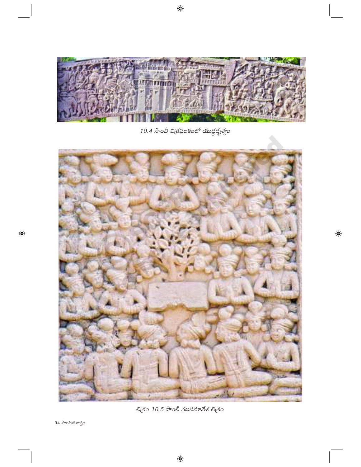

 $10.4$  సాంచీ చిత్రఫలకంలో యుద్ధదృశ్యం



చిత్రం 10.5 సాంచీ గణసమావేశ చిత్రం

 $94$  సాంఘికశాస్త్రం

 $\bigoplus$